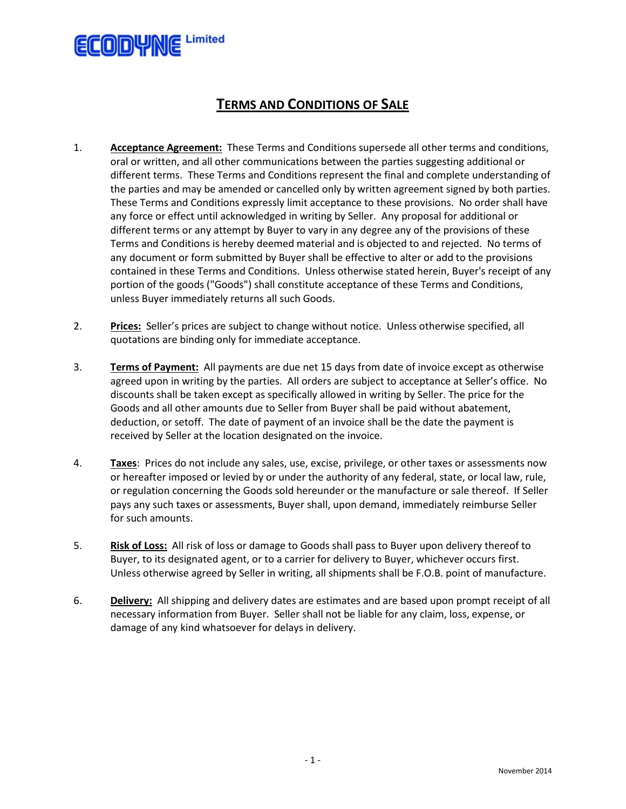

## **TERMS AND CONDITIONS OF SALE**

- 1. **Acceptance Agreement:** These Terms and Conditions supersede all other terms and conditions, oral or written, and all other communications between the parties suggesting additional or different terms. These Terms and Conditions represent the final and complete understanding of the parties and may be amended or cancelled only by written agreement signed by both parties. These Terms and Conditions expressly limit acceptance to these provisions. No order shall have any force or effect until acknowledged in writing by Seller. Any proposal for additional or different terms or any attempt by Buyer to vary in any degree any of the provisions of these Terms and Conditions is hereby deemed material and is objected to and rejected. No terms of any document or form submitted by Buyer shall be effective to alter or add to the provisions contained in these Terms and Conditions. Unless otherwise stated herein, Buyer's receipt of any portion of the goods ("Goods") shall constitute acceptance of these Terms and Conditions, unless Buyer immediately returns all such Goods.
- 2. **Prices:** Seller's prices are subject to change without notice. Unless otherwise specified, all quotations are binding only for immediate acceptance.
- 3. **Terms of Payment:** All payments are due net 15 days from date of invoice except as otherwise agreed upon in writing by the parties. All orders are subject to acceptance at Seller's office. No discounts shall be taken except as specifically allowed in writing by Seller. The price for the Goods and all other amounts due to Seller from Buyer shall be paid without abatement, deduction, or setoff. The date of payment of an invoice shall be the date the payment is received by Seller at the location designated on the invoice.
- 4. **Taxes**: Prices do not include any sales, use, excise, privilege, or other taxes or assessments now or hereafter imposed or levied by or under the authority of any federal, state, or local law, rule, or regulation concerning the Goods sold hereunder or the manufacture or sale thereof. If Seller pays any such taxes or assessments, Buyer shall, upon demand, immediately reimburse Seller for such amounts.
- 5. **Risk of Loss:** All risk of loss or damage to Goods shall pass to Buyer upon delivery thereof to Buyer, to its designated agent, or to a carrier for delivery to Buyer, whichever occurs first. Unless otherwise agreed by Seller in writing, all shipments shall be F.O.B. point of manufacture.
- 6. **Delivery:** All shipping and delivery dates are estimates and are based upon prompt receipt of all necessary information from Buyer. Seller shall not be liable for any claim, loss, expense, or damage of any kind whatsoever for delays in delivery.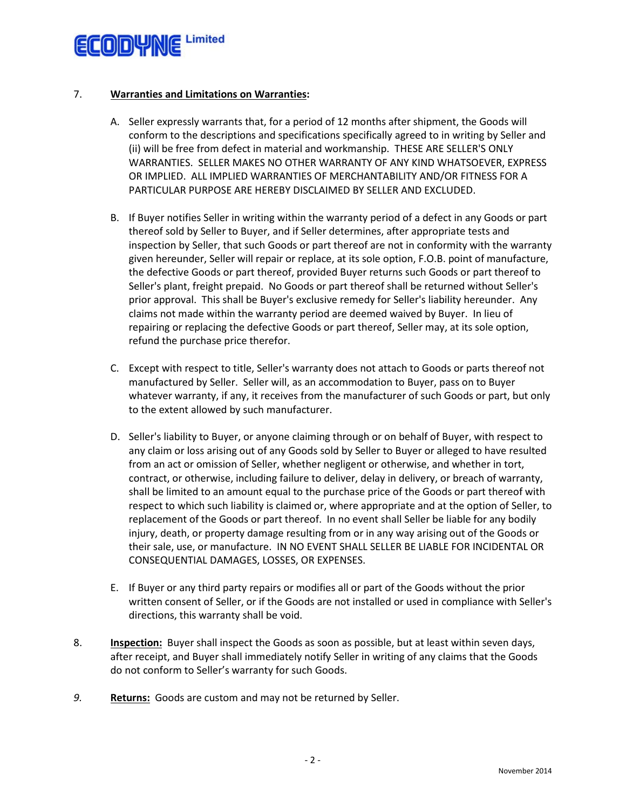

## 7. **Warranties and Limitations on Warranties:**

- A. Seller expressly warrants that, for a period of 12 months after shipment, the Goods will conform to the descriptions and specifications specifically agreed to in writing by Seller and (ii) will be free from defect in material and workmanship. THESE ARE SELLER'S ONLY WARRANTIES. SELLER MAKES NO OTHER WARRANTY OF ANY KIND WHATSOEVER, EXPRESS OR IMPLIED. ALL IMPLIED WARRANTIES OF MERCHANTABILITY AND/OR FITNESS FOR A PARTICULAR PURPOSE ARE HEREBY DISCLAIMED BY SELLER AND EXCLUDED.
- B. If Buyer notifies Seller in writing within the warranty period of a defect in any Goods or part thereof sold by Seller to Buyer, and if Seller determines, after appropriate tests and inspection by Seller, that such Goods or part thereof are not in conformity with the warranty given hereunder, Seller will repair or replace, at its sole option, F.O.B. point of manufacture, the defective Goods or part thereof, provided Buyer returns such Goods or part thereof to Seller's plant, freight prepaid. No Goods or part thereof shall be returned without Seller's prior approval. This shall be Buyer's exclusive remedy for Seller's liability hereunder. Any claims not made within the warranty period are deemed waived by Buyer. In lieu of repairing or replacing the defective Goods or part thereof, Seller may, at its sole option, refund the purchase price therefor.
- C. Except with respect to title, Seller's warranty does not attach to Goods or parts thereof not manufactured by Seller. Seller will, as an accommodation to Buyer, pass on to Buyer whatever warranty, if any, it receives from the manufacturer of such Goods or part, but only to the extent allowed by such manufacturer.
- D. Seller's liability to Buyer, or anyone claiming through or on behalf of Buyer, with respect to any claim or loss arising out of any Goods sold by Seller to Buyer or alleged to have resulted from an act or omission of Seller, whether negligent or otherwise, and whether in tort, contract, or otherwise, including failure to deliver, delay in delivery, or breach of warranty, shall be limited to an amount equal to the purchase price of the Goods or part thereof with respect to which such liability is claimed or, where appropriate and at the option of Seller, to replacement of the Goods or part thereof. In no event shall Seller be liable for any bodily injury, death, or property damage resulting from or in any way arising out of the Goods or their sale, use, or manufacture. IN NO EVENT SHALL SELLER BE LIABLE FOR INCIDENTAL OR CONSEQUENTIAL DAMAGES, LOSSES, OR EXPENSES.
- E. If Buyer or any third party repairs or modifies all or part of the Goods without the prior written consent of Seller, or if the Goods are not installed or used in compliance with Seller's directions, this warranty shall be void.
- 8. **Inspection:** Buyer shall inspect the Goods as soon as possible, but at least within seven days, after receipt, and Buyer shall immediately notify Seller in writing of any claims that the Goods do not conform to Seller's warranty for such Goods.
- *9.* **Returns:** Goods are custom and may not be returned by Seller.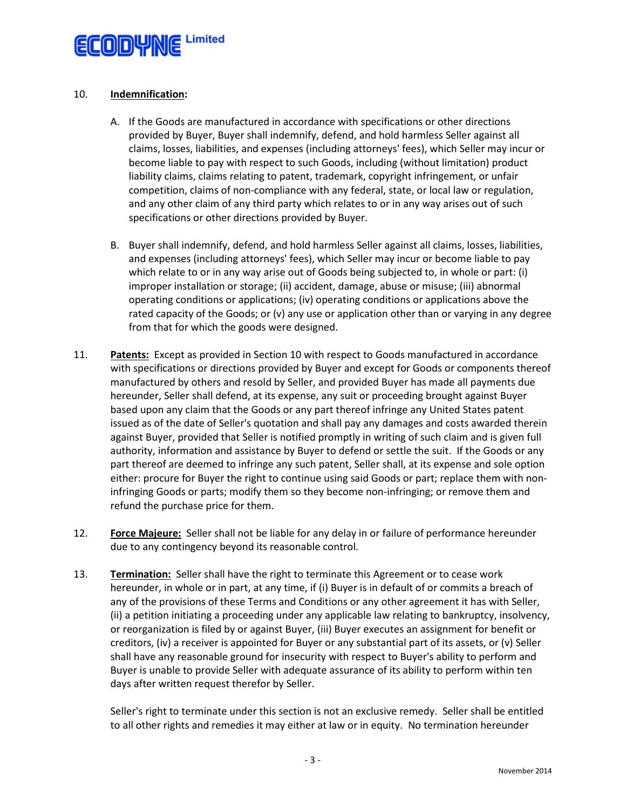

## 10. **Indemnification:**

- A. If the Goods are manufactured in accordance with specifications or other directions provided by Buyer, Buyer shall indemnify, defend, and hold harmless Seller against all claims, losses, liabilities, and expenses (including attorneys' fees), which Seller may incur or become liable to pay with respect to such Goods, including (without limitation) product liability claims, claims relating to patent, trademark, copyright infringement, or unfair competition, claims of non-compliance with any federal, state, or local law or regulation, and any other claim of any third party which relates to or in any way arises out of such specifications or other directions provided by Buyer.
- B. Buyer shall indemnify, defend, and hold harmless Seller against all claims, losses, liabilities, and expenses (including attorneys' fees), which Seller may incur or become liable to pay which relate to or in any way arise out of Goods being subjected to, in whole or part: (i) improper installation or storage; (ii) accident, damage, abuse or misuse; (iii) abnormal operating conditions or applications; (iv) operating conditions or applications above the rated capacity of the Goods; or (v) any use or application other than or varying in any degree from that for which the goods were designed.
- 11. **Patents:** Except as provided in Section 10 with respect to Goods manufactured in accordance with specifications or directions provided by Buyer and except for Goods or components thereof manufactured by others and resold by Seller, and provided Buyer has made all payments due hereunder, Seller shall defend, at its expense, any suit or proceeding brought against Buyer based upon any claim that the Goods or any part thereof infringe any United States patent issued as of the date of Seller's quotation and shall pay any damages and costs awarded therein against Buyer, provided that Seller is notified promptly in writing of such claim and is given full authority, information and assistance by Buyer to defend or settle the suit. If the Goods or any part thereof are deemed to infringe any such patent, Seller shall, at its expense and sole option either: procure for Buyer the right to continue using said Goods or part; replace them with noninfringing Goods or parts; modify them so they become non-infringing; or remove them and refund the purchase price for them.
- 12. **Force Majeure:** Seller shall not be liable for any delay in or failure of performance hereunder due to any contingency beyond its reasonable control.
- 13. **Termination:** Seller shall have the right to terminate this Agreement or to cease work hereunder, in whole or in part, at any time, if (i) Buyer is in default of or commits a breach of any of the provisions of these Terms and Conditions or any other agreement it has with Seller, (ii) a petition initiating a proceeding under any applicable law relating to bankruptcy, insolvency, or reorganization is filed by or against Buyer, (iii) Buyer executes an assignment for benefit or creditors, (iv) a receiver is appointed for Buyer or any substantial part of its assets, or (v) Seller shall have any reasonable ground for insecurity with respect to Buyer's ability to perform and Buyer is unable to provide Seller with adequate assurance of its ability to perform within ten days after written request therefor by Seller.

Seller's right to terminate under this section is not an exclusive remedy. Seller shall be entitled to all other rights and remedies it may either at law or in equity. No termination hereunder